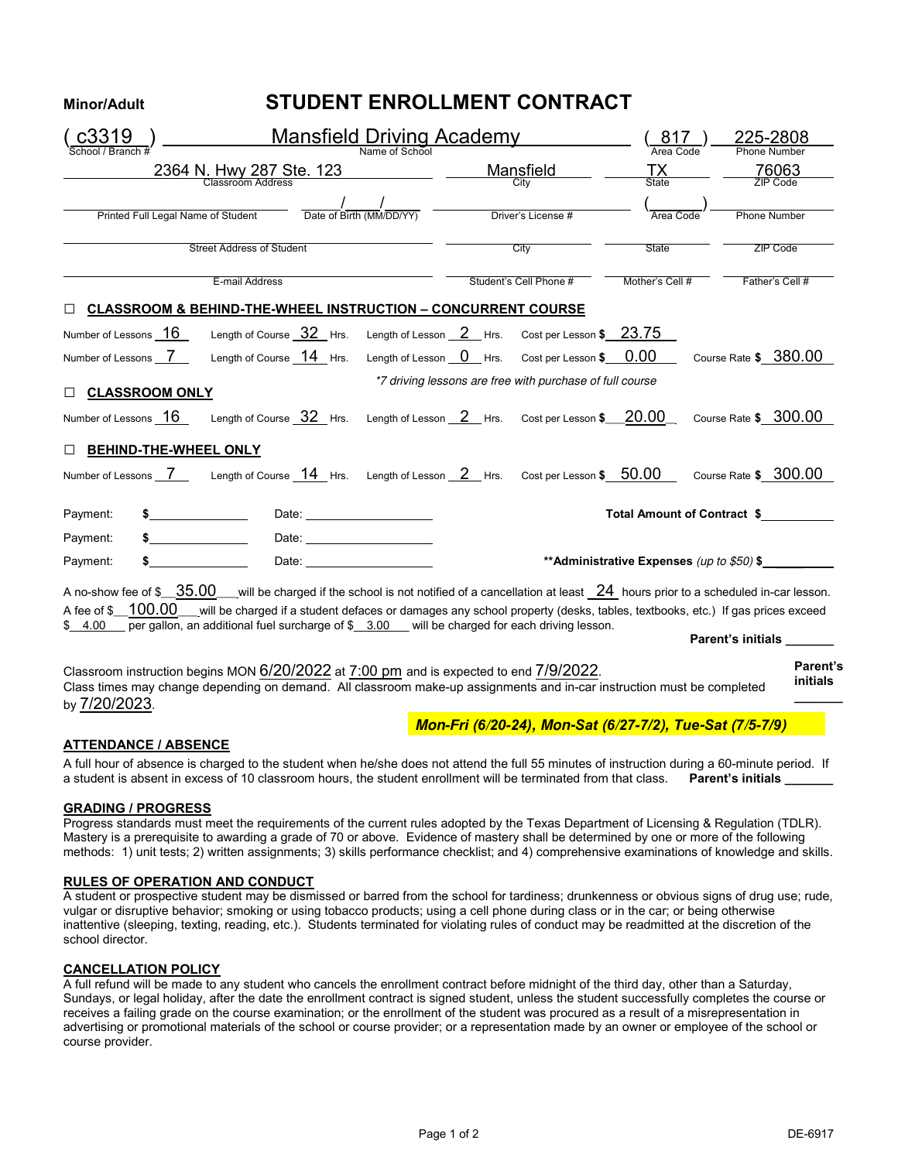# **Minor/Adult STUDENT ENROLLMENT CONTRACT**

|                                                                                   | Mansfield Driving Academy                                                                                                                                                                                                                                                                                                                                                             |                                      |                             |                                                          | 817                |                           | 225-2808                        |  |
|-----------------------------------------------------------------------------------|---------------------------------------------------------------------------------------------------------------------------------------------------------------------------------------------------------------------------------------------------------------------------------------------------------------------------------------------------------------------------------------|--------------------------------------|-----------------------------|----------------------------------------------------------|--------------------|---------------------------|---------------------------------|--|
| Name of School                                                                    |                                                                                                                                                                                                                                                                                                                                                                                       |                                      |                             |                                                          |                    |                           | <b>Phone Number</b>             |  |
| 2364 N. Hwy 287 Ste. 123<br>Classroom Address                                     |                                                                                                                                                                                                                                                                                                                                                                                       |                                      | <u>Mansfield</u><br>City    |                                                          | $\frac{TX}{State}$ |                           | $\frac{76063}{\text{ZIP Code}}$ |  |
| $\frac{1}{\text{Date of Birth (MM/DD/YY)}}$<br>Printed Full Legal Name of Student |                                                                                                                                                                                                                                                                                                                                                                                       |                                      | Driver's License #          |                                                          |                    |                           | Phone Number                    |  |
| <b>Street Address of Student</b>                                                  |                                                                                                                                                                                                                                                                                                                                                                                       |                                      | City                        |                                                          | State              |                           | ZIP Code                        |  |
|                                                                                   | E-mail Address                                                                                                                                                                                                                                                                                                                                                                        |                                      |                             | Student's Cell Phone #                                   | Mother's Cell #    |                           | Father's Cell #                 |  |
|                                                                                   | <b>CLASSROOM &amp; BEHIND-THE-WHEEL INSTRUCTION - CONCURRENT COURSE</b>                                                                                                                                                                                                                                                                                                               |                                      |                             |                                                          |                    |                           |                                 |  |
| Number of Lessons _ 16                                                            | Length of Course 32 Hrs.                                                                                                                                                                                                                                                                                                                                                              | Length of Lesson $2$ Hrs.            |                             | Cost per Lesson \$23.75                                  |                    |                           |                                 |  |
| Number of Lessons 7                                                               | Length of Course 14 Hrs.                                                                                                                                                                                                                                                                                                                                                              | Length of Lesson $\overline{0}$ Hrs. |                             | Cost per Lesson \$ 0.00                                  |                    | Course Rate \$ 380.00     |                                 |  |
| <b>CLASSROOM ONLY</b><br>П.                                                       |                                                                                                                                                                                                                                                                                                                                                                                       |                                      |                             | *7 driving lessons are free with purchase of full course |                    |                           |                                 |  |
| Number of Lessons 16                                                              | Length of Course $\frac{32}{1}$ Hrs.                                                                                                                                                                                                                                                                                                                                                  | Length of Lesson $2$ Hrs.            |                             | Cost per Lesson \$ 20.00                                 |                    | Course Rate \$ 300.00     |                                 |  |
| <b>BEHIND-THE-WHEEL ONLY</b><br>$\Box$                                            |                                                                                                                                                                                                                                                                                                                                                                                       |                                      |                             |                                                          |                    |                           |                                 |  |
|                                                                                   | Number of Lessons __7 _______ Length of Course __14___Hrs. Length of Lesson __2___Hrs.                                                                                                                                                                                                                                                                                                |                                      |                             | Cost per Lesson \$ 50.00                                 |                    | Course Rate \$ 300.00     |                                 |  |
| Payment:                                                                          | Date: _______________________<br><u> 1980 - Johann Barnett, fransk konge</u>                                                                                                                                                                                                                                                                                                          |                                      | Total Amount of Contract \$ |                                                          |                    |                           |                                 |  |
| Payment:                                                                          | Date: <u>_______________________</u>                                                                                                                                                                                                                                                                                                                                                  |                                      |                             |                                                          |                    |                           |                                 |  |
| Payment:                                                                          | Date: the contract of the contract of the contract of the contract of the contract of the contract of the contract of the contract of the contract of the contract of the contract of the contract of the contract of the cont<br>**Administrative Expenses (up to \$50) \$                                                                                                           |                                      |                             |                                                          |                    |                           |                                 |  |
| A no-show fee of \$ __ 35.00<br>A fee of \$ 100.00<br>\$4.00                      | __will be charged if the school is not notified of a cancellation at least $24\,$ hours prior to a scheduled in-car lesson.<br>will be charged if a student defaces or damages any school property (desks, tables, textbooks, etc.) If gas prices exceed<br>$\overline{\text{per}}$ gallon, an additional fuel surcharge of $\frac{3.00}{2}$ will be charged for each driving lesson. |                                      |                             |                                                          |                    | Parent's initials _______ |                                 |  |
| by 7/20/2023.                                                                     | Classroom instruction begins MON 6/20/2022 at 7:00 pm and is expected to end 7/9/2022.<br>Class times may change depending on demand. All classroom make-up assignments and in-car instruction must be completed                                                                                                                                                                      |                                      |                             |                                                          |                    |                           | Parent's<br>initials            |  |
|                                                                                   |                                                                                                                                                                                                                                                                                                                                                                                       |                                      |                             | Mon-Fri (6/20-24), Mon-Sat (6/27-7/2), Tue-Sat (7/5-7/9) |                    |                           |                                 |  |

### **ATTENDANCE / ABSENCE**

A full hour of absence is charged to the student when he/she does not attend the full 55 minutes of instruction during a 60-minute period. If a student is absent in excess of 10 classroom hours, the student enrollment will be terminated from that class. Parent's initials

#### **GRADING / PROGRESS**

Progress standards must meet the requirements of the current rules adopted by the Texas Department of Licensing & Regulation (TDLR). Mastery is a prerequisite to awarding a grade of 70 or above. Evidence of mastery shall be determined by one or more of the following methods: 1) unit tests; 2) written assignments; 3) skills performance checklist; and 4) comprehensive examinations of knowledge and skills.

#### **RULES OF OPERATION AND CONDUCT**

A student or prospective student may be dismissed or barred from the school for tardiness; drunkenness or obvious signs of drug use; rude, vulgar or disruptive behavior; smoking or using tobacco products; using a cell phone during class or in the car; or being otherwise inattentive (sleeping, texting, reading, etc.). Students terminated for violating rules of conduct may be readmitted at the discretion of the school director.

### **CANCELLATION POLICY**

A full refund will be made to any student who cancels the enrollment contract before midnight of the third day, other than a Saturday, Sundays, or legal holiday, after the date the enrollment contract is signed student, unless the student successfully completes the course or receives a failing grade on the course examination; or the enrollment of the student was procured as a result of a misrepresentation in advertising or promotional materials of the school or course provider; or a representation made by an owner or employee of the school or course provider.